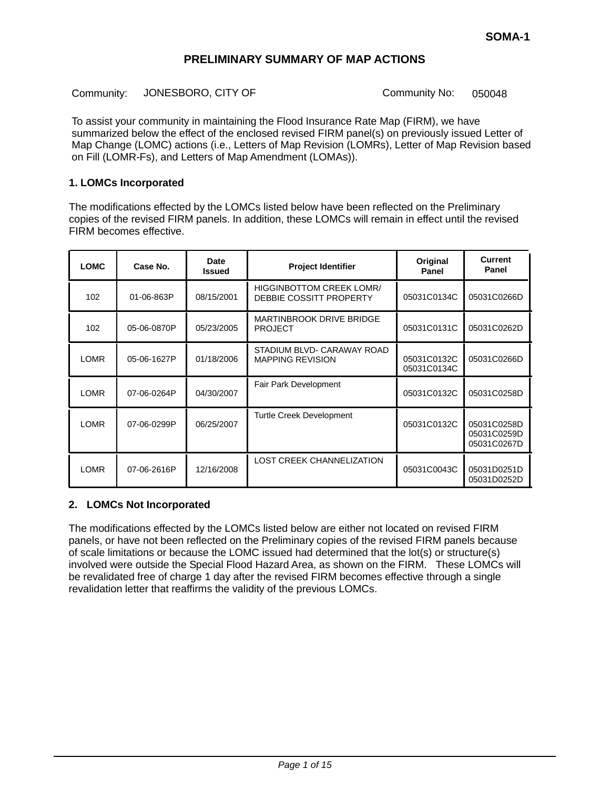Community: JONESBORO, CITY OF Community No: 050048

To assist your community in maintaining the Flood Insurance Rate Map (FIRM), we have summarized below the effect of the enclosed revised FIRM panel(s) on previously issued Letter of Map Change (LOMC) actions (i.e., Letters of Map Revision (LOMRs), Letter of Map Revision based on Fill (LOMR-Fs), and Letters of Map Amendment (LOMAs)).

#### **1. LOMCs Incorporated**

The modifications effected by the LOMCs listed below have been reflected on the Preliminary copies of the revised FIRM panels. In addition, these LOMCs will remain in effect until the revised FIRM becomes effective.

| <b>LOMC</b> | Case No.    | <b>Date</b><br><b>Issued</b> | <b>Project Identifier</b>                                  | Original<br>Panel          | <b>Current</b><br>Panel                   |
|-------------|-------------|------------------------------|------------------------------------------------------------|----------------------------|-------------------------------------------|
| 102         | 01-06-863P  | 08/15/2001                   | <b>HIGGINBOTTOM CREEK LOMR/</b><br>DEBBIE COSSITT PROPERTY | 05031C0134C                | 05031C0266D                               |
| 102         | 05-06-0870P | 05/23/2005                   | <b>MARTINBROOK DRIVE BRIDGE</b><br><b>PROJECT</b>          | 05031C0131C                | 05031C0262D                               |
| <b>LOMR</b> | 05-06-1627P | 01/18/2006                   | STADIUM BLVD- CARAWAY ROAD<br><b>MAPPING REVISION</b>      | 05031C0132C<br>05031C0134C | 05031C0266D                               |
| <b>LOMR</b> | 07-06-0264P | 04/30/2007                   | <b>Fair Park Development</b>                               | 05031C0132C                | 05031C0258D                               |
| <b>LOMR</b> | 07-06-0299P | 06/25/2007                   | <b>Turtle Creek Development</b>                            | 05031C0132C                | 05031C0258D<br>05031C0259D<br>05031C0267D |
| <b>LOMR</b> | 07-06-2616P | 12/16/2008                   | <b>LOST CREEK CHANNELIZATION</b>                           | 05031C0043C                | 05031D0251D<br>05031D0252D                |

#### **2. LOMCs Not Incorporated**

The modifications effected by the LOMCs listed below are either not located on revised FIRM panels, or have not been reflected on the Preliminary copies of the revised FIRM panels because of scale limitations or because the LOMC issued had determined that the lot(s) or structure(s) involved were outside the Special Flood Hazard Area, as shown on the FIRM. These LOMCs will be revalidated free of charge 1 day after the revised FIRM becomes effective through a single revalidation letter that reaffirms the validity of the previous LOMCs.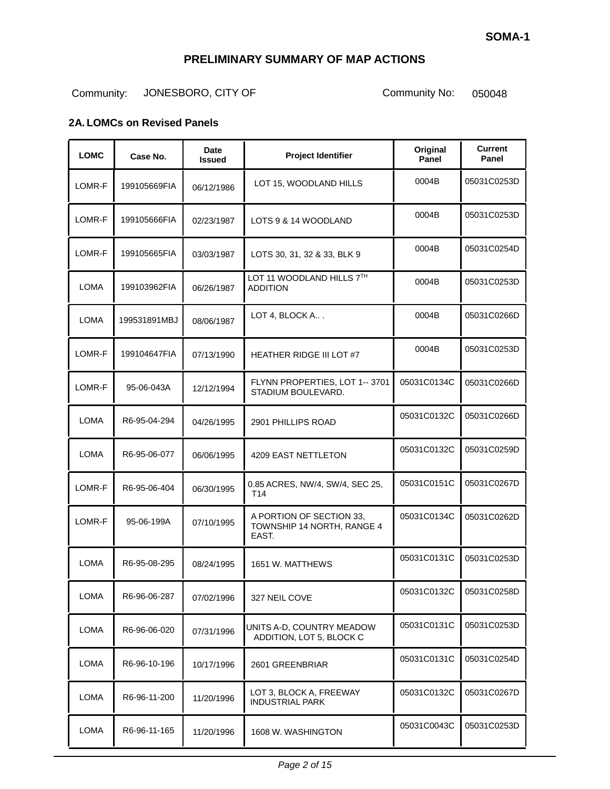# Community: JONESBORO, CITY OF Community No: 050048

#### **2A. LOMCs on Revised Panels**

| <b>LOMC</b> | Case No.     | Date<br><b>Issued</b> | <b>Project Identifier</b>                                       | Original<br>Panel | <b>Current</b><br>Panel |
|-------------|--------------|-----------------------|-----------------------------------------------------------------|-------------------|-------------------------|
| LOMR-F      | 199105669FIA | 06/12/1986            | LOT 15, WOODLAND HILLS                                          | 0004B             | 05031C0253D             |
| LOMR-F      | 199105666FIA | 02/23/1987            | LOTS 9 & 14 WOODLAND                                            | 0004B             | 05031C0253D             |
| LOMR-F      | 199105665FIA | 03/03/1987            | LOTS 30, 31, 32 & 33, BLK 9                                     | 0004B             | 05031C0254D             |
| <b>LOMA</b> | 199103962FIA | 06/26/1987            | LOT 11 WOODLAND HILLS 7TH<br><b>ADDITION</b>                    | 0004B             | 05031C0253D             |
| <b>LOMA</b> | 199531891MBJ | 08/06/1987            | LOT 4, BLOCK A                                                  | 0004B             | 05031C0266D             |
| LOMR-F      | 199104647FIA | 07/13/1990            | <b>HEATHER RIDGE III LOT #7</b>                                 | 0004B             | 05031C0253D             |
| LOMR-F      | 95-06-043A   | 12/12/1994            | FLYNN PROPERTIES, LOT 1-- 3701<br>STADIUM BOULEVARD.            | 05031C0134C       | 05031C0266D             |
| <b>LOMA</b> | R6-95-04-294 | 04/26/1995            | 2901 PHILLIPS ROAD                                              | 05031C0132C       | 05031C0266D             |
| <b>LOMA</b> | R6-95-06-077 | 06/06/1995            | 4209 EAST NETTLETON                                             | 05031C0132C       | 05031C0259D             |
| LOMR-F      | R6-95-06-404 | 06/30/1995            | 0.85 ACRES, NW/4, SW/4, SEC 25,<br>T <sub>14</sub>              | 05031C0151C       | 05031C0267D             |
| LOMR-F      | 95-06-199A   | 07/10/1995            | A PORTION OF SECTION 33.<br>TOWNSHIP 14 NORTH, RANGE 4<br>EAST. | 05031C0134C       | 05031C0262D             |
| <b>LOMA</b> | R6-95-08-295 | 08/24/1995            | 1651 W. MATTHEWS                                                | 05031C0131C       | 05031C0253D             |
| <b>LOMA</b> | R6-96-06-287 | 07/02/1996            | 327 NEIL COVE                                                   | 05031C0132C       | 05031C0258D             |
| <b>LOMA</b> | R6-96-06-020 | 07/31/1996            | UNITS A-D, COUNTRY MEADOW<br>ADDITION, LOT 5, BLOCK C           | 05031C0131C       | 05031C0253D             |
| <b>LOMA</b> | R6-96-10-196 | 10/17/1996            | 2601 GREENBRIAR                                                 | 05031C0131C       | 05031C0254D             |
| <b>LOMA</b> | R6-96-11-200 | 11/20/1996            | LOT 3, BLOCK A, FREEWAY<br><b>INDUSTRIAL PARK</b>               | 05031C0132C       | 05031C0267D             |
| <b>LOMA</b> | R6-96-11-165 | 11/20/1996            | 1608 W. WASHINGTON                                              | 05031C0043C       | 05031C0253D             |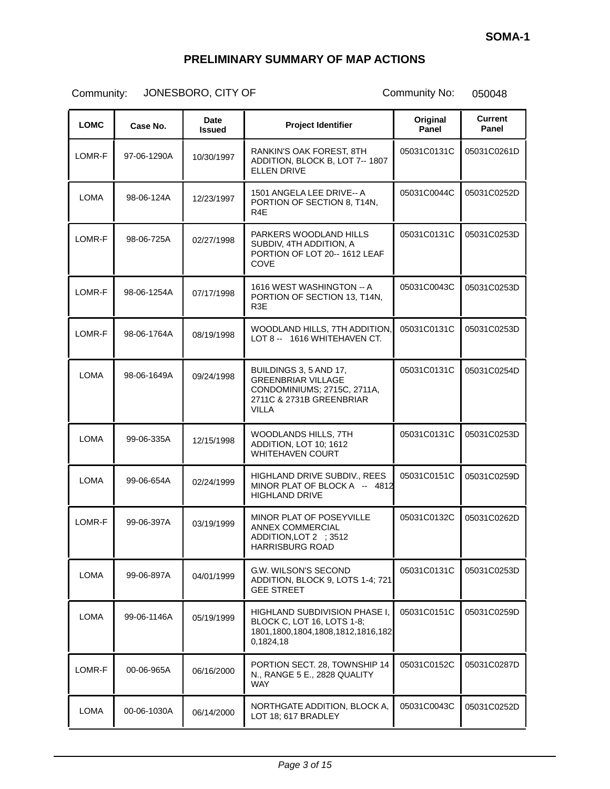| <b>LOMC</b> | Case No.    | <b>Date</b><br><b>Issued</b> | <b>Project Identifier</b>                                                                                                      | Original<br>Panel | <b>Current</b><br>Panel |
|-------------|-------------|------------------------------|--------------------------------------------------------------------------------------------------------------------------------|-------------------|-------------------------|
| LOMR-F      | 97-06-1290A | 10/30/1997                   | RANKIN'S OAK FOREST. 8TH<br>ADDITION, BLOCK B, LOT 7-- 1807<br><b>ELLEN DRIVE</b>                                              | 05031C0131C       | 05031C0261D             |
| <b>LOMA</b> | 98-06-124A  | 12/23/1997                   | 1501 ANGELA LEE DRIVE-- A<br>PORTION OF SECTION 8, T14N,<br>R <sub>4</sub> E                                                   | 05031C0044C       | 05031C0252D             |
| LOMR-F      | 98-06-725A  | 02/27/1998                   | PARKERS WOODLAND HILLS<br>SUBDIV, 4TH ADDITION, A<br>PORTION OF LOT 20-- 1612 LEAF<br>COVE                                     | 05031C0131C       | 05031C0253D             |
| LOMR-F      | 98-06-1254A | 07/17/1998                   | 1616 WEST WASHINGTON -- A<br>PORTION OF SECTION 13, T14N,<br>R3E                                                               | 05031C0043C       | 05031C0253D             |
| LOMR-F      | 98-06-1764A | 08/19/1998                   | WOODLAND HILLS, 7TH ADDITION,<br>LOT 8 -- 1616 WHITEHAVEN CT.                                                                  | 05031C0131C       | 05031C0253D             |
| <b>LOMA</b> | 98-06-1649A | 09/24/1998                   | BUILDINGS 3, 5 AND 17,<br><b>GREENBRIAR VILLAGE</b><br>CONDOMINIUMS; 2715C, 2711A,<br>2711C & 2731B GREENBRIAR<br><b>VILLA</b> | 05031C0131C       | 05031C0254D             |
| <b>LOMA</b> | 99-06-335A  | 12/15/1998                   | WOODLANDS HILLS, 7TH<br>ADDITION, LOT 10; 1612<br><b>WHITEHAVEN COURT</b>                                                      | 05031C0131C       | 05031C0253D             |
| <b>LOMA</b> | 99-06-654A  | 02/24/1999                   | HIGHLAND DRIVE SUBDIV., REES<br>MINOR PLAT OF BLOCK A -- 4812<br><b>HIGHLAND DRIVE</b>                                         | 05031C0151C       | 05031C0259D             |
| LOMR-F      | 99-06-397A  | 03/19/1999                   | <b>MINOR PLAT OF POSEYVILLE</b><br><b>ANNEX COMMERCIAL</b><br>ADDITION, LOT 2 ; 3512<br><b>HARRISBURG ROAD</b>                 | 05031C0132C       | 05031C0262D             |
| <b>LOMA</b> | 99-06-897A  | 04/01/1999                   | <b>G.W. WILSON'S SECOND</b><br>ADDITION, BLOCK 9, LOTS 1-4; 721<br><b>GEE STREET</b>                                           | 05031C0131C       | 05031C0253D             |
| <b>LOMA</b> | 99-06-1146A | 05/19/1999                   | HIGHLAND SUBDIVISION PHASE I,<br>BLOCK C, LOT 16, LOTS 1-8;<br>1801, 1800, 1804, 1808, 1812, 1816, 182<br>0,1824,18            | 05031C0151C       | 05031C0259D             |
| LOMR-F      | 00-06-965A  | 06/16/2000                   | PORTION SECT. 28, TOWNSHIP 14<br>N., RANGE 5 E., 2828 QUALITY<br><b>WAY</b>                                                    | 05031C0152C       | 05031C0287D             |
| LOMA        | 00-06-1030A | 06/14/2000                   | NORTHGATE ADDITION, BLOCK A,<br>LOT 18; 617 BRADLEY                                                                            | 05031C0043C       | 05031C0252D             |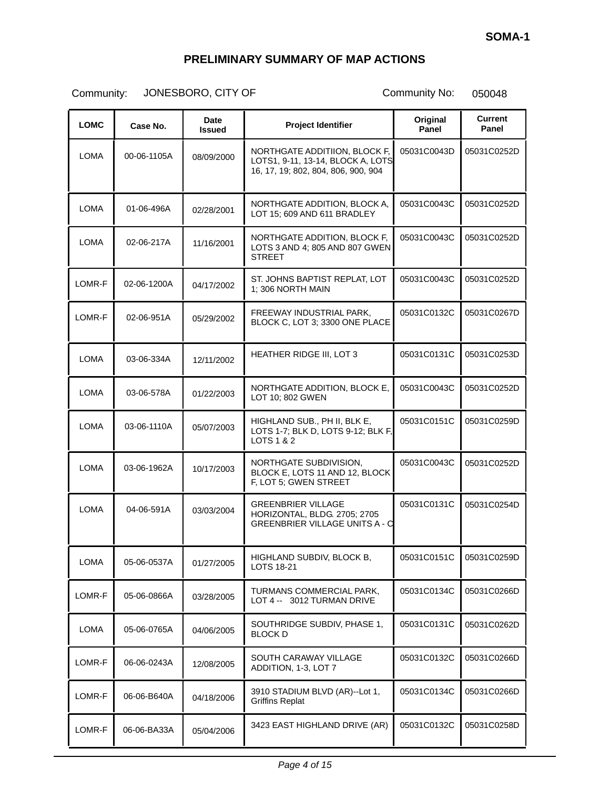| <b>LOMC</b> | Case No.    | Date<br><b>Issued</b> | <b>Project Identifier</b>                                                                                 | Original<br>Panel | <b>Current</b><br>Panel |
|-------------|-------------|-----------------------|-----------------------------------------------------------------------------------------------------------|-------------------|-------------------------|
| <b>LOMA</b> | 00-06-1105A | 08/09/2000            | NORTHGATE ADDITIION, BLOCK F,<br>LOTS1, 9-11, 13-14, BLOCK A, LOTS<br>16, 17, 19; 802, 804, 806, 900, 904 | 05031C0043D       | 05031C0252D             |
| <b>LOMA</b> | 01-06-496A  | 02/28/2001            | NORTHGATE ADDITION, BLOCK A,<br>LOT 15; 609 AND 611 BRADLEY                                               | 05031C0043C       | 05031C0252D             |
| LOMA        | 02-06-217A  | 11/16/2001            | NORTHGATE ADDITION, BLOCK F,<br>LOTS 3 AND 4: 805 AND 807 GWEN<br><b>STREET</b>                           | 05031C0043C       | 05031C0252D             |
| LOMR-F      | 02-06-1200A | 04/17/2002            | ST. JOHNS BAPTIST REPLAT, LOT<br>1; 306 NORTH MAIN                                                        | 05031C0043C       | 05031C0252D             |
| LOMR-F      | 02-06-951A  | 05/29/2002            | FREEWAY INDUSTRIAL PARK,<br>BLOCK C, LOT 3; 3300 ONE PLACE                                                | 05031C0132C       | 05031C0267D             |
| LOMA        | 03-06-334A  | 12/11/2002            | HEATHER RIDGE III, LOT 3                                                                                  | 05031C0131C       | 05031C0253D             |
| LOMA        | 03-06-578A  | 01/22/2003            | NORTHGATE ADDITION, BLOCK E,<br>LOT 10; 802 GWEN                                                          | 05031C0043C       | 05031C0252D             |
| LOMA        | 03-06-1110A | 05/07/2003            | HIGHLAND SUB., PH II, BLK E,<br>LOTS 1-7; BLK D, LOTS 9-12; BLK F,<br><b>LOTS 1 &amp; 2</b>               | 05031C0151C       | 05031C0259D             |
| LOMA        | 03-06-1962A | 10/17/2003            | NORTHGATE SUBDIVISION,<br>BLOCK E, LOTS 11 AND 12, BLOCK<br>F, LOT 5; GWEN STREET                         | 05031C0043C       | 05031C0252D             |
| <b>LOMA</b> | 04-06-591A  | 03/03/2004            | <b>GREENBRIER VILLAGE</b><br>HORIZONTAL, BLDG. 2705; 2705<br><b>GREENBRIER VILLAGE UNITS A - C</b>        | 05031C0131C       | 05031C0254D             |
| LOMA        | 05-06-0537A | 01/27/2005            | HIGHLAND SUBDIV, BLOCK B,<br><b>LOTS 18-21</b>                                                            | 05031C0151C       | 05031C0259D             |
| LOMR-F      | 05-06-0866A | 03/28/2005            | TURMANS COMMERCIAL PARK,<br>LOT 4 -- 3012 TURMAN DRIVE                                                    | 05031C0134C       | 05031C0266D             |
| LOMA        | 05-06-0765A | 04/06/2005            | SOUTHRIDGE SUBDIV, PHASE 1,<br><b>BLOCK D</b>                                                             | 05031C0131C       | 05031C0262D             |
| LOMR-F      | 06-06-0243A | 12/08/2005            | SOUTH CARAWAY VILLAGE<br>ADDITION, 1-3, LOT 7                                                             | 05031C0132C       | 05031C0266D             |
| LOMR-F      | 06-06-B640A | 04/18/2006            | 3910 STADIUM BLVD (AR)--Lot 1,<br><b>Griffins Replat</b>                                                  | 05031C0134C       | 05031C0266D             |
| LOMR-F      | 06-06-BA33A | 05/04/2006            | 3423 EAST HIGHLAND DRIVE (AR)                                                                             | 05031C0132C       | 05031C0258D             |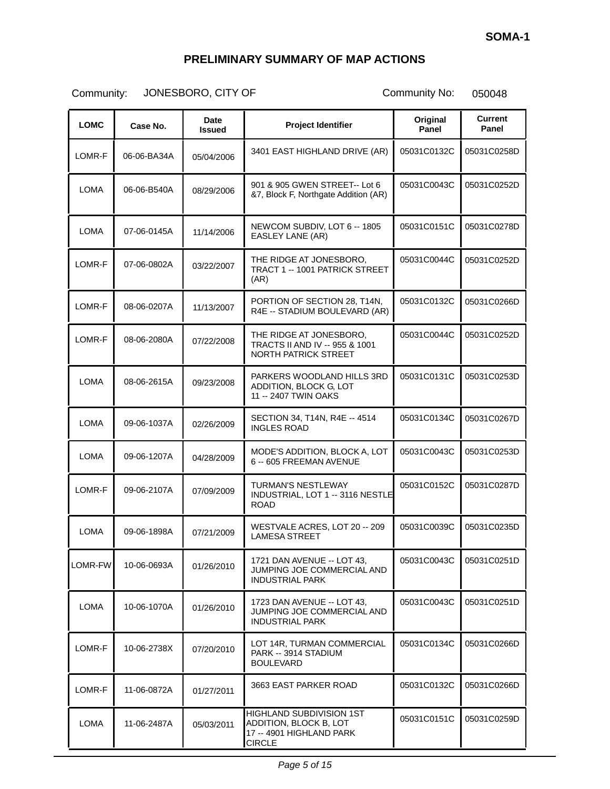| <b>LOMC</b> | Case No.    | Date<br><b>Issued</b> | <b>Project Identifier</b>                                                                              | Original<br>Panel | <b>Current</b><br>Panel |
|-------------|-------------|-----------------------|--------------------------------------------------------------------------------------------------------|-------------------|-------------------------|
| LOMR-F      | 06-06-BA34A | 05/04/2006            | 3401 EAST HIGHLAND DRIVE (AR)                                                                          | 05031C0132C       | 05031C0258D             |
| LOMA        | 06-06-B540A | 08/29/2006            | 901 & 905 GWEN STREET-- Lot 6<br>&7, Block F, Northgate Addition (AR)                                  | 05031C0043C       | 05031C0252D             |
| <b>LOMA</b> | 07-06-0145A | 11/14/2006            | NEWCOM SUBDIV, LOT 6 -- 1805<br>EASLEY LANE (AR)                                                       | 05031C0151C       | 05031C0278D             |
| LOMR-F      | 07-06-0802A | 03/22/2007            | THE RIDGE AT JONESBORO.<br><b>TRACT 1 -- 1001 PATRICK STREET</b><br>(AR)                               | 05031C0044C       | 05031C0252D             |
| LOMR-F      | 08-06-0207A | 11/13/2007            | PORTION OF SECTION 28, T14N,<br>R4E -- STADIUM BOULEVARD (AR)                                          | 05031C0132C       | 05031C0266D             |
| LOMR-F      | 08-06-2080A | 07/22/2008            | THE RIDGE AT JONESBORO,<br>TRACTS II AND IV -- 955 & 1001<br><b>NORTH PATRICK STREET</b>               | 05031C0044C       | 05031C0252D             |
| <b>LOMA</b> | 08-06-2615A | 09/23/2008            | PARKERS WOODLAND HILLS 3RD<br>ADDITION, BLOCK G, LOT<br>11 -- 2407 TWIN OAKS                           | 05031C0131C       | 05031C0253D             |
| <b>LOMA</b> | 09-06-1037A | 02/26/2009            | SECTION 34, T14N, R4E -- 4514<br><b>INGLES ROAD</b>                                                    | 05031C0134C       | 05031C0267D             |
| LOMA        | 09-06-1207A | 04/28/2009            | MODE'S ADDITION, BLOCK A, LOT<br>6 -- 605 FREEMAN AVENUE                                               | 05031C0043C       | 05031C0253D             |
| LOMR-F      | 09-06-2107A | 07/09/2009            | <b>TURMAN'S NESTLEWAY</b><br>INDUSTRIAL, LOT 1 -- 3116 NESTLE<br><b>ROAD</b>                           | 05031C0152C       | 05031C0287D             |
| <b>LOMA</b> | 09-06-1898A | 07/21/2009            | WESTVALE ACRES, LOT 20 -- 209<br><b>LAMESA STREET</b>                                                  | 05031C0039C       | 05031C0235D             |
| LOMR-FW     | 10-06-0693A | 01/26/2010            | 1721 DAN AVENUE -- LOT 43,<br>JUMPING JOE COMMERCIAL AND<br><b>INDUSTRIAL PARK</b>                     | 05031C0043C       | 05031C0251D             |
| LOMA        | 10-06-1070A | 01/26/2010            | 1723 DAN AVENUE -- LOT 43,<br>JUMPING JOE COMMERCIAL AND<br>INDUSTRIAL PARK                            | 05031C0043C       | 05031C0251D             |
| LOMR-F      | 10-06-2738X | 07/20/2010            | LOT 14R, TURMAN COMMERCIAL<br>PARK -- 3914 STADIUM<br><b>BOULEVARD</b>                                 | 05031C0134C       | 05031C0266D             |
| LOMR-F      | 11-06-0872A | 01/27/2011            | 3663 EAST PARKER ROAD                                                                                  | 05031C0132C       | 05031C0266D             |
| <b>LOMA</b> | 11-06-2487A | 05/03/2011            | <b>HIGHLAND SUBDIVISION 1ST</b><br>ADDITION, BLOCK B, LOT<br>17 -- 4901 HIGHLAND PARK<br><b>CIRCLE</b> | 05031C0151C       | 05031C0259D             |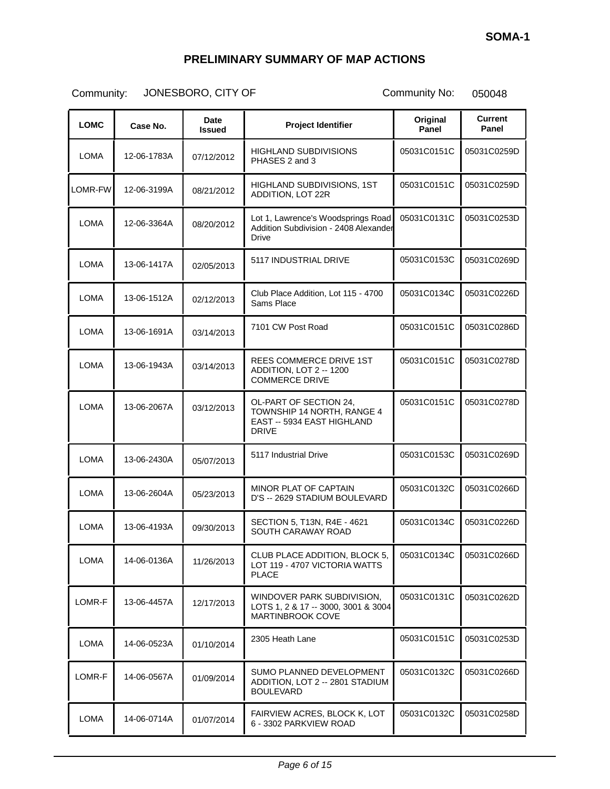| <b>LOMC</b> | Case No.    | Date<br><b>Issued</b> | <b>Project Identifier</b>                                                                          | Original<br>Panel | <b>Current</b><br>Panel |
|-------------|-------------|-----------------------|----------------------------------------------------------------------------------------------------|-------------------|-------------------------|
| LOMA        | 12-06-1783A | 07/12/2012            | <b>HIGHLAND SUBDIVISIONS</b><br>PHASES 2 and 3                                                     | 05031C0151C       | 05031C0259D             |
| LOMR-FW     | 12-06-3199A | 08/21/2012            | HIGHLAND SUBDIVISIONS, 1ST<br>ADDITION, LOT 22R                                                    | 05031C0151C       | 05031C0259D             |
| <b>LOMA</b> | 12-06-3364A | 08/20/2012            | Lot 1, Lawrence's Woodsprings Road<br>Addition Subdivision - 2408 Alexander<br><b>Drive</b>        | 05031C0131C       | 05031C0253D             |
| LOMA        | 13-06-1417A | 02/05/2013            | 5117 INDUSTRIAL DRIVE                                                                              | 05031C0153C       | 05031C0269D             |
| <b>LOMA</b> | 13-06-1512A | 02/12/2013            | Club Place Addition, Lot 115 - 4700<br>Sams Place                                                  | 05031C0134C       | 05031C0226D             |
| <b>LOMA</b> | 13-06-1691A | 03/14/2013            | 7101 CW Post Road                                                                                  | 05031C0151C       | 05031C0286D             |
| LOMA        | 13-06-1943A | 03/14/2013            | <b>REES COMMERCE DRIVE 1ST</b><br>ADDITION, LOT 2 -- 1200<br><b>COMMERCE DRIVE</b>                 | 05031C0151C       | 05031C0278D             |
| LOMA        | 13-06-2067A | 03/12/2013            | OL-PART OF SECTION 24,<br>TOWNSHIP 14 NORTH, RANGE 4<br>EAST -- 5934 EAST HIGHLAND<br><b>DRIVE</b> | 05031C0151C       | 05031C0278D             |
| <b>LOMA</b> | 13-06-2430A | 05/07/2013            | 5117 Industrial Drive                                                                              | 05031C0153C       | 05031C0269D             |
| LOMA        | 13-06-2604A | 05/23/2013            | MINOR PLAT OF CAPTAIN<br>D'S -- 2629 STADIUM BOULEVARD                                             | 05031C0132C       | 05031C0266D             |
| LOMA        | 13-06-4193A | 09/30/2013            | SECTION 5, T13N, R4E - 4621<br>SOUTH CARAWAY ROAD                                                  | 05031C0134C       | 05031C0226D             |
| LOMA        | 14-06-0136A | 11/26/2013            | CLUB PLACE ADDITION, BLOCK 5,<br>LOT 119 - 4707 VICTORIA WATTS<br><b>PLACE</b>                     | 05031C0134C       | 05031C0266D             |
| LOMR-F      | 13-06-4457A | 12/17/2013            | WINDOVER PARK SUBDIVISION,<br>LOTS 1, 2 & 17 -- 3000, 3001 & 3004<br>MARTINBROOK COVE              | 05031C0131C       | 05031C0262D             |
| <b>LOMA</b> | 14-06-0523A | 01/10/2014            | 2305 Heath Lane                                                                                    | 05031C0151C       | 05031C0253D             |
| LOMR-F      | 14-06-0567A | 01/09/2014            | SUMO PLANNED DEVELOPMENT<br>ADDITION, LOT 2 -- 2801 STADIUM<br><b>BOULEVARD</b>                    | 05031C0132C       | 05031C0266D             |
| <b>LOMA</b> | 14-06-0714A | 01/07/2014            | FAIRVIEW ACRES, BLOCK K, LOT<br>6 - 3302 PARKVIEW ROAD                                             | 05031C0132C       | 05031C0258D             |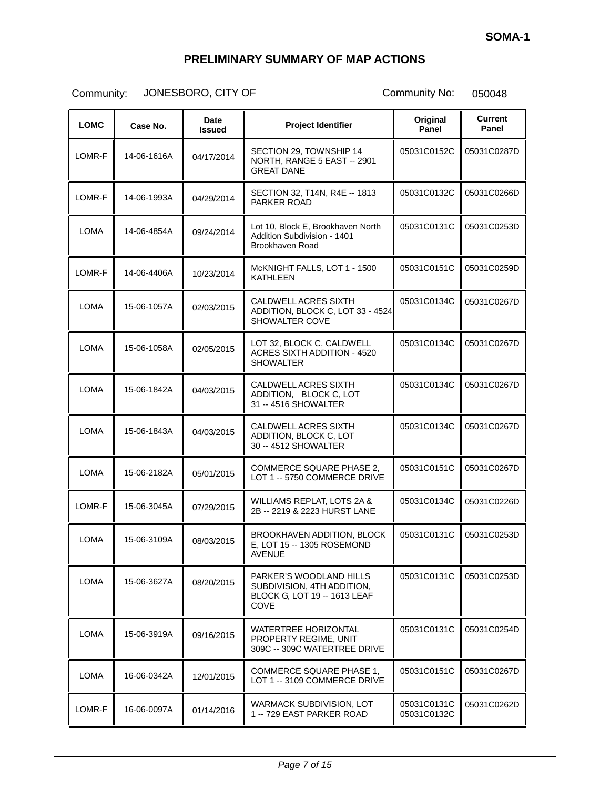| <b>LOMC</b> | Case No.    | Date<br><b>Issued</b> | <b>Project Identifier</b>                                                                     | Original<br>Panel          | <b>Current</b><br>Panel |
|-------------|-------------|-----------------------|-----------------------------------------------------------------------------------------------|----------------------------|-------------------------|
| LOMR-F      | 14-06-1616A | 04/17/2014            | SECTION 29, TOWNSHIP 14<br>NORTH, RANGE 5 EAST -- 2901<br><b>GREAT DANE</b>                   | 05031C0152C                | 05031C0287D             |
| LOMR-F      | 14-06-1993A | 04/29/2014            | SECTION 32, T14N, R4E -- 1813<br>PARKER ROAD                                                  | 05031C0132C                | 05031C0266D             |
| LOMA        | 14-06-4854A | 09/24/2014            | Lot 10, Block E, Brookhaven North<br>Addition Subdivision - 1401<br>Brookhaven Road           | 05031C0131C                | 05031C0253D             |
| LOMR-F      | 14-06-4406A | 10/23/2014            | McKNIGHT FALLS, LOT 1 - 1500<br>KATHLEEN                                                      | 05031C0151C                | 05031C0259D             |
| LOMA        | 15-06-1057A | 02/03/2015            | CALDWELL ACRES SIXTH<br>ADDITION, BLOCK C, LOT 33 - 4524<br>SHOWALTER COVE                    | 05031C0134C                | 05031C0267D             |
| LOMA        | 15-06-1058A | 02/05/2015            | LOT 32, BLOCK C, CALDWELL<br><b>ACRES SIXTH ADDITION - 4520</b><br><b>SHOWALTER</b>           | 05031C0134C                | 05031C0267D             |
| <b>LOMA</b> | 15-06-1842A | 04/03/2015            | CALDWELL ACRES SIXTH<br>ADDITION, BLOCK C, LOT<br>31 -- 4516 SHOWALTER                        | 05031C0134C                | 05031C0267D             |
| LOMA        | 15-06-1843A | 04/03/2015            | CALDWELL ACRES SIXTH<br>ADDITION, BLOCK C, LOT<br>30 -- 4512 SHOWALTER                        | 05031C0134C                | 05031C0267D             |
| LOMA        | 15-06-2182A | 05/01/2015            | <b>COMMERCE SQUARE PHASE 2.</b><br>LOT 1 -- 5750 COMMERCE DRIVE                               | 05031C0151C                | 05031C0267D             |
| LOMR-F      | 15-06-3045A | 07/29/2015            | WILLIAMS REPLAT, LOTS 2A &<br>2B -- 2219 & 2223 HURST LANE                                    | 05031C0134C                | 05031C0226D             |
| LOMA        | 15-06-3109A | 08/03/2015            | BROOKHAVEN ADDITION, BLOCK<br>E, LOT 15 -- 1305 ROSEMOND<br><b>AVENUE</b>                     | 05031C0131C                | 05031C0253D             |
| LOMA        | 15-06-3627A | 08/20/2015            | PARKER'S WOODLAND HILLS<br>SUBDIVISION, 4TH ADDITION,<br>BLOCK G, LOT 19 -- 1613 LEAF<br>COVE | 05031C0131C                | 05031C0253D             |
| <b>LOMA</b> | 15-06-3919A | 09/16/2015            | <b>WATERTREE HORIZONTAL</b><br>PROPERTY REGIME, UNIT<br>309C -- 309C WATERTREE DRIVE          | 05031C0131C                | 05031C0254D             |
| <b>LOMA</b> | 16-06-0342A | 12/01/2015            | <b>COMMERCE SQUARE PHASE 1,</b><br>LOT 1 -- 3109 COMMERCE DRIVE                               | 05031C0151C                | 05031C0267D             |
| LOMR-F      | 16-06-0097A | 01/14/2016            | WARMACK SUBDIVISION, LOT<br>1 -- 729 EAST PARKER ROAD                                         | 05031C0131C<br>05031C0132C | 05031C0262D             |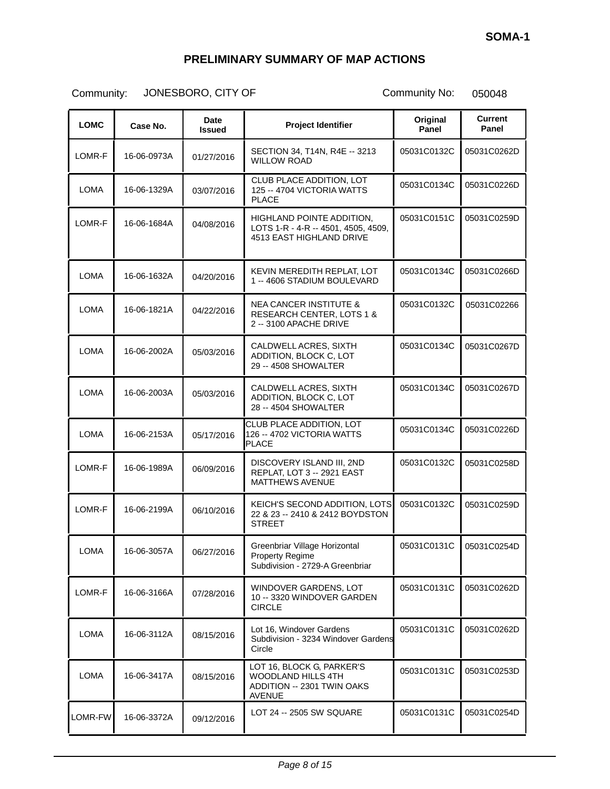| <b>LOMC</b> | Case No.    | Date<br><b>Issued</b> | <b>Project Identifier</b>                                                                             | Original<br>Panel | <b>Current</b><br>Panel |
|-------------|-------------|-----------------------|-------------------------------------------------------------------------------------------------------|-------------------|-------------------------|
| LOMR-F      | 16-06-0973A | 01/27/2016            | SECTION 34, T14N, R4E -- 3213<br><b>WILLOW ROAD</b>                                                   | 05031C0132C       | 05031C0262D             |
| <b>LOMA</b> | 16-06-1329A | 03/07/2016            | CLUB PLACE ADDITION, LOT<br>125 -- 4704 VICTORIA WATTS<br><b>PLACE</b>                                | 05031C0134C       | 05031C0226D             |
| LOMR-F      | 16-06-1684A | 04/08/2016            | HIGHLAND POINTE ADDITION,<br>LOTS 1-R - 4-R -- 4501, 4505, 4509,<br>4513 EAST HIGHLAND DRIVE          | 05031C0151C       | 05031C0259D             |
| <b>LOMA</b> | 16-06-1632A | 04/20/2016            | KEVIN MEREDITH REPLAT, LOT<br>1 -- 4606 STADIUM BOULEVARD                                             | 05031C0134C       | 05031C0266D             |
| LOMA        | 16-06-1821A | 04/22/2016            | <b>NEA CANCER INSTITUTE &amp;</b><br>RESEARCH CENTER, LOTS 1 &<br>2 -- 3100 APACHE DRIVE              | 05031C0132C       | 05031C02266             |
| <b>LOMA</b> | 16-06-2002A | 05/03/2016            | CALDWELL ACRES, SIXTH<br>ADDITION, BLOCK C, LOT<br>29 -- 4508 SHOWALTER                               | 05031C0134C       | 05031C0267D             |
| <b>LOMA</b> | 16-06-2003A | 05/03/2016            | CALDWELL ACRES, SIXTH<br>ADDITION, BLOCK C, LOT<br>28 -- 4504 SHOWALTER                               | 05031C0134C       | 05031C0267D             |
| <b>LOMA</b> | 16-06-2153A | 05/17/2016            | CLUB PLACE ADDITION, LOT<br>126 -- 4702 VICTORIA WATTS<br><b>PLACE</b>                                | 05031C0134C       | 05031C0226D             |
| LOMR-F      | 16-06-1989A | 06/09/2016            | DISCOVERY ISLAND III, 2ND<br>REPLAT, LOT 3 -- 2921 EAST<br><b>MATTHEWS AVENUE</b>                     | 05031C0132C       | 05031C0258D             |
| LOMR-F      | 16-06-2199A | 06/10/2016            | KEICH'S SECOND ADDITION, LOTS<br>22 & 23 -- 2410 & 2412 BOYDSTON<br><b>STREET</b>                     | 05031C0132C       | 05031C0259D             |
| <b>LOMA</b> | 16-06-3057A | 06/27/2016            | Greenbriar Village Horizontal<br><b>Property Regime</b><br>Subdivision - 2729-A Greenbriar            | 05031C0131C       | 05031C0254D             |
| LOMR-F      | 16-06-3166A | 07/28/2016            | WINDOVER GARDENS, LOT<br>10 -- 3320 WINDOVER GARDEN<br><b>CIRCLE</b>                                  | 05031C0131C       | 05031C0262D             |
| <b>LOMA</b> | 16-06-3112A | 08/15/2016            | Lot 16, Windover Gardens<br>Subdivision - 3234 Windover Gardens<br>Circle                             | 05031C0131C       | 05031C0262D             |
| <b>LOMA</b> | 16-06-3417A | 08/15/2016            | LOT 16, BLOCK G, PARKER'S<br><b>WOODLAND HILLS 4TH</b><br>ADDITION -- 2301 TWIN OAKS<br><b>AVENUE</b> | 05031C0131C       | 05031C0253D             |
| LOMR-FW     | 16-06-3372A | 09/12/2016            | LOT 24 -- 2505 SW SQUARE                                                                              | 05031C0131C       | 05031C0254D             |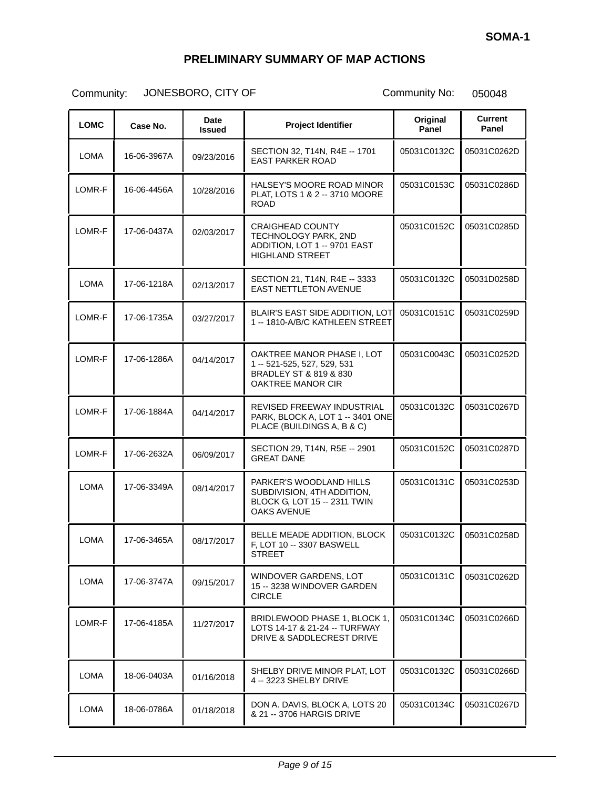| <b>LOMC</b> | Case No.    | Date<br><b>Issued</b> | <b>Project Identifier</b>                                                                                 | Original<br>Panel | Current<br>Panel |
|-------------|-------------|-----------------------|-----------------------------------------------------------------------------------------------------------|-------------------|------------------|
| LOMA        | 16-06-3967A | 09/23/2016            | SECTION 32, T14N, R4E -- 1701<br><b>EAST PARKER ROAD</b>                                                  | 05031C0132C       | 05031C0262D      |
| LOMR-F      | 16-06-4456A | 10/28/2016            | HALSEY'S MOORE ROAD MINOR<br>PLAT, LOTS 1 & 2 -- 3710 MOORE<br><b>ROAD</b>                                | 05031C0153C       | 05031C0286D      |
| LOMR-F      | 17-06-0437A | 02/03/2017            | <b>CRAIGHEAD COUNTY</b><br>TECHNOLOGY PARK, 2ND<br>ADDITION, LOT 1 -- 9701 EAST<br><b>HIGHLAND STREET</b> | 05031C0152C       | 05031C0285D      |
| <b>LOMA</b> | 17-06-1218A | 02/13/2017            | SECTION 21, T14N, R4E -- 3333<br><b>EAST NETTLETON AVENUE</b>                                             | 05031C0132C       | 05031D0258D      |
| LOMR-F      | 17-06-1735A | 03/27/2017            | <b>BLAIR'S EAST SIDE ADDITION, LOT</b><br>1 -- 1810-A/B/C KATHLEEN STREET                                 | 05031C0151C       | 05031C0259D      |
| LOMR-F      | 17-06-1286A | 04/14/2017            | OAKTREE MANOR PHASE I, LOT<br>1 -- 521-525, 527, 529, 531<br>BRADLEY ST & 819 & 830<br>OAKTREE MANOR CIR  | 05031C0043C       | 05031C0252D      |
| LOMR-F      | 17-06-1884A | 04/14/2017            | REVISED FREEWAY INDUSTRIAL<br>PARK, BLOCK A, LOT 1 -- 3401 ONE<br>PLACE (BUILDINGS A, B & C)              | 05031C0132C       | 05031C0267D      |
| LOMR-F      | 17-06-2632A | 06/09/2017            | SECTION 29, T14N, R5E -- 2901<br><b>GREAT DANE</b>                                                        | 05031C0152C       | 05031C0287D      |
| <b>LOMA</b> | 17-06-3349A | 08/14/2017            | PARKER'S WOODLAND HILLS<br>SUBDIVISION, 4TH ADDITION,<br>BLOCK G, LOT 15 -- 2311 TWIN<br>OAKS AVENUE      | 05031C0131C       | 05031C0253D      |
| <b>LOMA</b> | 17-06-3465A | 08/17/2017            | BELLE MEADE ADDITION, BLOCK<br>F, LOT 10 -- 3307 BASWELL<br><b>STREET</b>                                 | 05031C0132C       | 05031C0258D      |
| <b>LOMA</b> | 17-06-3747A | 09/15/2017            | WINDOVER GARDENS, LOT<br>15 -- 3238 WINDOVER GARDEN<br><b>CIRCLE</b>                                      | 05031C0131C       | 05031C0262D      |
| LOMR-F      | 17-06-4185A | 11/27/2017            | BRIDLEWOOD PHASE 1, BLOCK 1,<br>LOTS 14-17 & 21-24 -- TURFWAY<br>DRIVE & SADDLECREST DRIVE                | 05031C0134C       | 05031C0266D      |
| <b>LOMA</b> | 18-06-0403A | 01/16/2018            | SHELBY DRIVE MINOR PLAT, LOT<br>4 -- 3223 SHELBY DRIVE                                                    | 05031C0132C       | 05031C0266D      |
| LOMA        | 18-06-0786A | 01/18/2018            | DON A. DAVIS, BLOCK A, LOTS 20<br>& 21 -- 3706 HARGIS DRIVE                                               | 05031C0134C       | 05031C0267D      |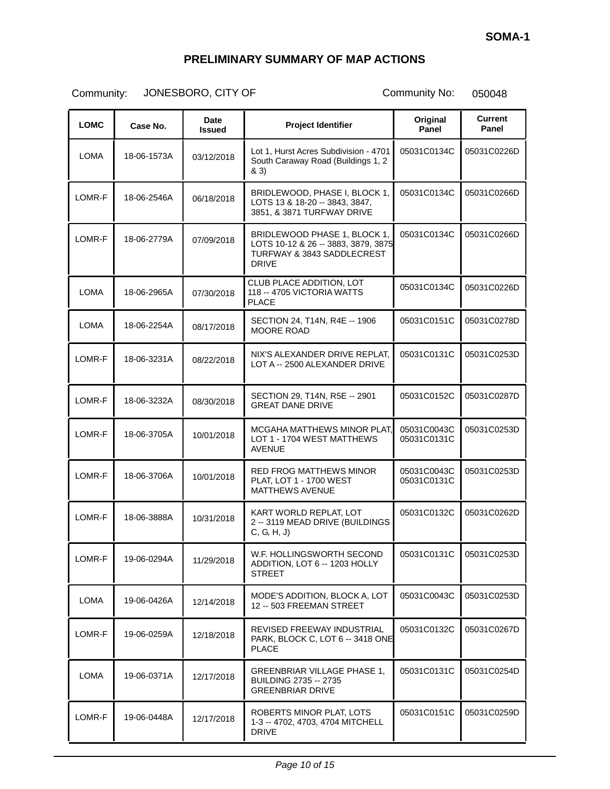| <b>LOMC</b> | Case No.    | Date<br><b>Issued</b> | <b>Project Identifier</b>                                                                                         | Original<br>Panel          | <b>Current</b><br>Panel |
|-------------|-------------|-----------------------|-------------------------------------------------------------------------------------------------------------------|----------------------------|-------------------------|
| LOMA        | 18-06-1573A | 03/12/2018            | Lot 1, Hurst Acres Subdivision - 4701<br>South Caraway Road (Buildings 1, 2<br>& 3)                               | 05031C0134C                | 05031C0226D             |
| LOMR-F      | 18-06-2546A | 06/18/2018            | BRIDLEWOOD, PHASE I, BLOCK 1,<br>LOTS 13 & 18-20 -- 3843, 3847,<br>3851, & 3871 TURFWAY DRIVE                     | 05031C0134C                | 05031C0266D             |
| LOMR-F      | 18-06-2779A | 07/09/2018            | BRIDLEWOOD PHASE 1, BLOCK 1,<br>LOTS 10-12 & 26 -- 3883, 3879, 3875<br>TURFWAY & 3843 SADDLECREST<br><b>DRIVE</b> | 05031C0134C                | 05031C0266D             |
| <b>LOMA</b> | 18-06-2965A | 07/30/2018            | CLUB PLACE ADDITION, LOT<br>118 -- 4705 VICTORIA WATTS<br><b>PLACE</b>                                            | 05031C0134C                | 05031C0226D             |
| <b>LOMA</b> | 18-06-2254A | 08/17/2018            | SECTION 24, T14N, R4E -- 1906<br><b>MOORE ROAD</b>                                                                | 05031C0151C                | 05031C0278D             |
| LOMR-F      | 18-06-3231A | 08/22/2018            | NIX'S ALEXANDER DRIVE REPLAT.<br>LOT A -- 2500 ALEXANDER DRIVE                                                    | 05031C0131C                | 05031C0253D             |
| LOMR-F      | 18-06-3232A | 08/30/2018            | SECTION 29, T14N, R5E -- 2901<br><b>GREAT DANE DRIVE</b>                                                          | 05031C0152C                | 05031C0287D             |
| LOMR-F      | 18-06-3705A | 10/01/2018            | MCGAHA MATTHEWS MINOR PLAT,<br>LOT 1 - 1704 WEST MATTHEWS<br><b>AVENUE</b>                                        | 05031C0043C<br>05031C0131C | 05031C0253D             |
| LOMR-F      | 18-06-3706A | 10/01/2018            | <b>RED FROG MATTHEWS MINOR</b><br>PLAT, LOT 1 - 1700 WEST<br><b>MATTHEWS AVENUE</b>                               | 05031C0043C<br>05031C0131C | 05031C0253D             |
| LOMR-F      | 18-06-3888A | 10/31/2018            | KART WORLD REPLAT. LOT<br>2 -- 3119 MEAD DRIVE (BUILDINGS<br>C, G, H, J                                           | 05031C0132C                | 05031C0262D             |
| LOMR-F      | 19-06-0294A | 11/29/2018            | W.F. HOLLINGSWORTH SECOND<br>ADDITION, LOT 6 -- 1203 HOLLY<br><b>STREET</b>                                       | 05031C0131C                | 05031C0253D             |
| <b>LOMA</b> | 19-06-0426A | 12/14/2018            | MODE'S ADDITION, BLOCK A, LOT<br>12 -- 503 FREEMAN STREET                                                         | 05031C0043C                | 05031C0253D             |
| LOMR-F      | 19-06-0259A | 12/18/2018            | REVISED FREEWAY INDUSTRIAL<br>PARK, BLOCK C, LOT 6 -- 3418 ONE<br><b>PLACE</b>                                    | 05031C0132C                | 05031C0267D             |
| <b>LOMA</b> | 19-06-0371A | 12/17/2018            | <b>GREENBRIAR VILLAGE PHASE 1,</b><br>BUILDING 2735 -- 2735<br><b>GREENBRIAR DRIVE</b>                            | 05031C0131C                | 05031C0254D             |
| LOMR-F      | 19-06-0448A | 12/17/2018            | ROBERTS MINOR PLAT, LOTS<br>1-3 -- 4702, 4703, 4704 MITCHELL<br><b>DRIVE</b>                                      | 05031C0151C                | 05031C0259D             |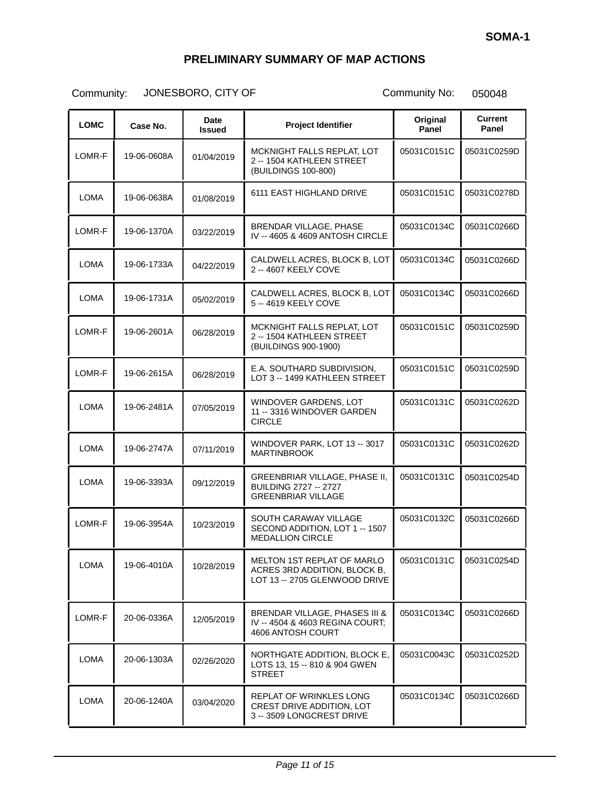| <b>LOMC</b> | Case No.    | Date<br><b>Issued</b> | <b>Project Identifier</b>                                                                   | Original<br>Panel | <b>Current</b><br>Panel |
|-------------|-------------|-----------------------|---------------------------------------------------------------------------------------------|-------------------|-------------------------|
| LOMR-F      | 19-06-0608A | 01/04/2019            | MCKNIGHT FALLS REPLAT, LOT<br>2 -- 1504 KATHLEEN STREET<br>(BUILDINGS 100-800)              | 05031C0151C       | 05031C0259D             |
| <b>LOMA</b> | 19-06-0638A | 01/08/2019            | 6111 EAST HIGHLAND DRIVE                                                                    | 05031C0151C       | 05031C0278D             |
| LOMR-F      | 19-06-1370A | 03/22/2019            | BRENDAR VILLAGE, PHASE<br>IV -- 4605 & 4609 ANTOSH CIRCLE                                   | 05031C0134C       | 05031C0266D             |
| <b>LOMA</b> | 19-06-1733A | 04/22/2019            | CALDWELL ACRES, BLOCK B, LOT<br>2 -- 4607 KEELY COVE                                        | 05031C0134C       | 05031C0266D             |
| LOMA        | 19-06-1731A | 05/02/2019            | CALDWELL ACRES, BLOCK B, LOT<br>5 -- 4619 KEELY COVE                                        | 05031C0134C       | 05031C0266D             |
| LOMR-F      | 19-06-2601A | 06/28/2019            | MCKNIGHT FALLS REPLAT, LOT<br>2 -- 1504 KATHLEEN STREET<br>(BUILDINGS 900-1900)             | 05031C0151C       | 05031C0259D             |
| LOMR-F      | 19-06-2615A | 06/28/2019            | E.A. SOUTHARD SUBDIVISION.<br>LOT 3 -- 1499 KATHLEEN STREET                                 | 05031C0151C       | 05031C0259D             |
| LOMA        | 19-06-2481A | 07/05/2019            | WINDOVER GARDENS, LOT<br>11 -- 3316 WINDOVER GARDEN<br><b>CIRCLE</b>                        | 05031C0131C       | 05031C0262D             |
| <b>LOMA</b> | 19-06-2747A | 07/11/2019            | WINDOVER PARK, LOT 13 -- 3017<br><b>MARTINBROOK</b>                                         | 05031C0131C       | 05031C0262D             |
| LOMA        | 19-06-3393A | 09/12/2019            | GREENBRIAR VILLAGE, PHASE II,<br><b>BUILDING 2727 -- 2727</b><br><b>GREENBRIAR VILLAGE</b>  | 05031C0131C       | 05031C0254D             |
| LOMR-F      | 19-06-3954A | 10/23/2019            | SOUTH CARAWAY VILLAGE<br>SECOND ADDITION, LOT 1 -- 1507<br><b>MEDALLION CIRCLE</b>          | 05031C0132C       | 05031C0266D             |
| LOMA        | 19-06-4010A | 10/28/2019            | MELTON 1ST REPLAT OF MARLO<br>ACRES 3RD ADDITION, BLOCK B.<br>LOT 13 -- 2705 GLENWOOD DRIVE | 05031C0131C       | 05031C0254D             |
| LOMR-F      | 20-06-0336A | 12/05/2019            | BRENDAR VILLAGE, PHASES III &<br>IV -- 4504 & 4603 REGINA COURT;<br>4606 ANTOSH COURT       | 05031C0134C       | 05031C0266D             |
| <b>LOMA</b> | 20-06-1303A | 02/26/2020            | NORTHGATE ADDITION, BLOCK E,<br>LOTS 13, 15 -- 810 & 904 GWEN<br><b>STREET</b>              | 05031C0043C       | 05031C0252D             |
| <b>LOMA</b> | 20-06-1240A | 03/04/2020            | REPLAT OF WRINKLES LONG<br>CREST DRIVE ADDITION, LOT<br>3 -- 3509 LONGCREST DRIVE           | 05031C0134C       | 05031C0266D             |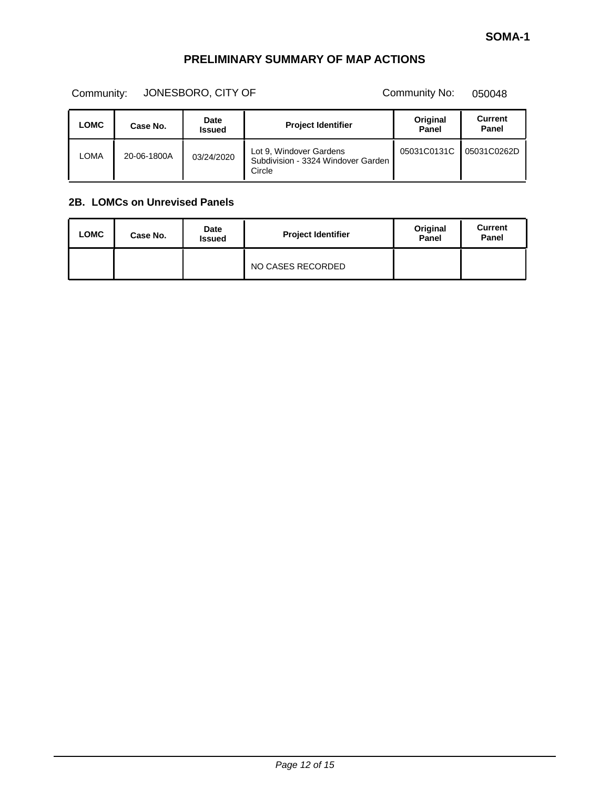Community: JONESBORO, CITY OF Community No: 050048

| LOMC | Case No.    | <b>Date</b><br><b>Issued</b> | <b>Project Identifier</b>                                               | Original<br>Panel | <b>Current</b><br>Panel |
|------|-------------|------------------------------|-------------------------------------------------------------------------|-------------------|-------------------------|
| LOMA | 20-06-1800A | 03/24/2020                   | Lot 9, Windover Gardens<br>Subdivision - 3324 Windover Garden<br>Circle | 05031C0131C       | 05031C0262D             |

#### **2B. LOMCs on Unrevised Panels**

| <b>LOMC</b> | Case No. | Date<br><b>Issued</b> | <b>Project Identifier</b> | Original<br>Panel | Current<br>Panel |
|-------------|----------|-----------------------|---------------------------|-------------------|------------------|
|             |          |                       | NO CASES RECORDED         |                   |                  |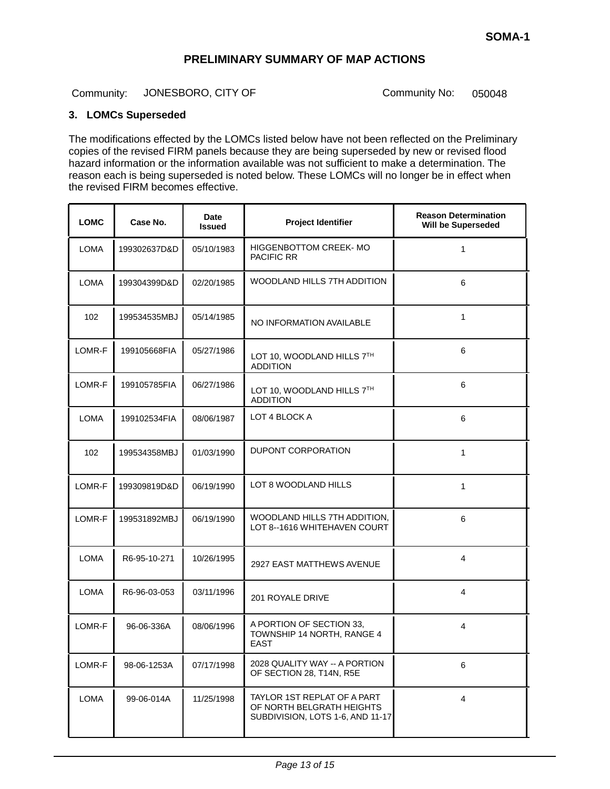Community: JONESBORO, CITY OF Community No: 050048

#### **3. LOMCs Superseded**

The modifications effected by the LOMCs listed below have not been reflected on the Preliminary copies of the revised FIRM panels because they are being superseded by new or revised flood hazard information or the information available was not sufficient to make a determination. The reason each is being superseded is noted below. These LOMCs will no longer be in effect when the revised FIRM becomes effective.

| <b>LOMC</b> | Case No.     | <b>Date</b><br><b>Issued</b> | <b>Project Identifier</b>                                                                    | <b>Reason Determination</b><br>Will be Superseded |  |
|-------------|--------------|------------------------------|----------------------------------------------------------------------------------------------|---------------------------------------------------|--|
| <b>LOMA</b> | 199302637D&D | 05/10/1983                   | HIGGENBOTTOM CREEK- MO<br><b>PACIFIC RR</b>                                                  | $\mathbf{1}$                                      |  |
| LOMA        | 199304399D&D | 02/20/1985                   | WOODLAND HILLS 7TH ADDITION                                                                  | 6                                                 |  |
| 102         | 199534535MBJ | 05/14/1985                   | NO INFORMATION AVAILABLE                                                                     | 1                                                 |  |
| LOMR-F      | 199105668FIA | 05/27/1986                   | LOT 10, WOODLAND HILLS 7TH<br><b>ADDITION</b>                                                | 6                                                 |  |
| LOMR-F      | 199105785FIA | 06/27/1986                   | LOT 10, WOODLAND HILLS 7TH<br><b>ADDITION</b>                                                | 6                                                 |  |
| <b>LOMA</b> | 199102534FIA | 08/06/1987                   | LOT 4 BLOCK A                                                                                | 6                                                 |  |
| 102         | 199534358MBJ | 01/03/1990                   | DUPONT CORPORATION                                                                           | $\mathbf{1}$                                      |  |
| LOMR-F      | 199309819D&D | 06/19/1990                   | LOT 8 WOODLAND HILLS                                                                         | 1                                                 |  |
| LOMR-F      | 199531892MBJ | 06/19/1990                   | WOODLAND HILLS 7TH ADDITION,<br>LOT 8--1616 WHITEHAVEN COURT                                 | 6                                                 |  |
| <b>LOMA</b> | R6-95-10-271 | 10/26/1995                   | 2927 EAST MATTHEWS AVENUE                                                                    | $\overline{4}$                                    |  |
| <b>LOMA</b> | R6-96-03-053 | 03/11/1996                   | 201 ROYALE DRIVE                                                                             | 4                                                 |  |
| LOMR-F      | 96-06-336A   | 08/06/1996                   | A PORTION OF SECTION 33,<br>TOWNSHIP 14 NORTH, RANGE 4<br><b>EAST</b>                        | 4                                                 |  |
| LOMR-F      | 98-06-1253A  | 07/17/1998                   | 2028 QUALITY WAY -- A PORTION<br>OF SECTION 28, T14N, R5E                                    | 6                                                 |  |
| LOMA        | 99-06-014A   | 11/25/1998                   | TAYLOR 1ST REPLAT OF A PART<br>OF NORTH BELGRATH HEIGHTS<br>SUBDIVISION, LOTS 1-6, AND 11-17 | $\overline{4}$                                    |  |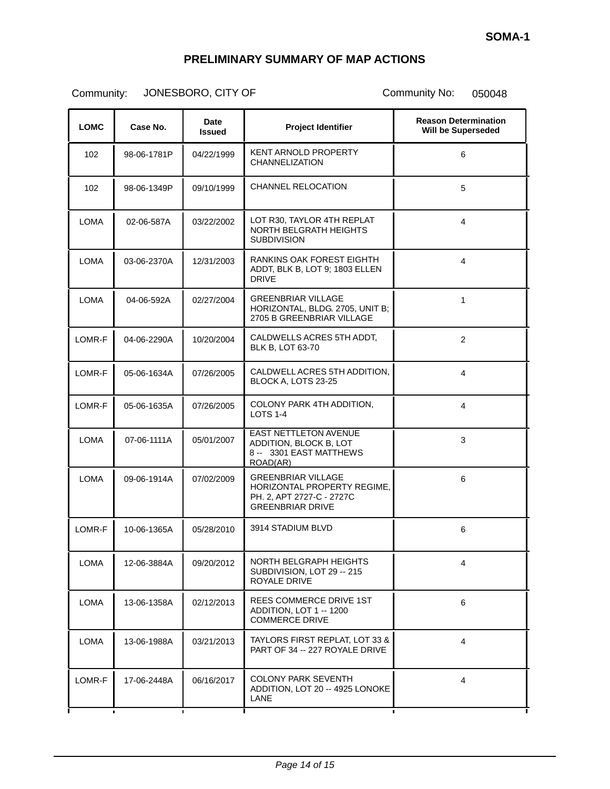| <b>LOMC</b> | Case No.                      | <b>Date</b><br><b>Issued</b> | <b>Project Identifier</b>                                                                                               | <b>Reason Determination</b><br>Will be Superseded |  |
|-------------|-------------------------------|------------------------------|-------------------------------------------------------------------------------------------------------------------------|---------------------------------------------------|--|
| 102         | 98-06-1781P                   | 04/22/1999                   | KENT ARNOLD PROPERTY<br><b>CHANNELIZATION</b>                                                                           | 6                                                 |  |
| 102         | 98-06-1349P                   | 09/10/1999                   | <b>CHANNEL RELOCATION</b>                                                                                               | 5                                                 |  |
| <b>LOMA</b> | 02-06-587A                    | 03/22/2002                   | LOT R30, TAYLOR 4TH REPLAT<br>NORTH BELGRATH HEIGHTS<br><b>SUBDIVISION</b>                                              | 4                                                 |  |
| <b>LOMA</b> | 03-06-2370A                   | 12/31/2003                   | RANKINS OAK FOREST EIGHTH<br>ADDT, BLK B, LOT 9; 1803 ELLEN<br><b>DRIVE</b>                                             | 4                                                 |  |
| <b>LOMA</b> | 04-06-592A                    | 02/27/2004                   | <b>GREENBRIAR VILLAGE</b><br>HORIZONTAL, BLDG. 2705, UNIT B;<br>2705 B GREENBRIAR VILLAGE                               | $\mathbf{1}$                                      |  |
| LOMR-F      | 04-06-2290A                   | 10/20/2004                   | CALDWELLS ACRES 5TH ADDT,<br><b>BLK B, LOT 63-70</b>                                                                    | 2                                                 |  |
| LOMR-F      | 05-06-1634A                   | 07/26/2005                   | CALDWELL ACRES 5TH ADDITION,<br>BLOCK A, LOTS 23-25                                                                     | $\overline{4}$                                    |  |
| LOMR-F      | 05-06-1635A                   | 07/26/2005                   | COLONY PARK 4TH ADDITION,<br><b>LOTS 1-4</b>                                                                            | 4                                                 |  |
| <b>LOMA</b> | 07-06-1111A                   | 05/01/2007                   | <b>EAST NETTLETON AVENUE</b><br>ADDITION, BLOCK B, LOT<br>8 -- 3301 EAST MATTHEWS<br>ROAD(AR)                           | 3                                                 |  |
| <b>LOMA</b> | 09-06-1914A                   | 07/02/2009                   | <b>GREENBRIAR VILLAGE</b><br><b>HORIZONTAL PROPERTY REGIME.</b><br>PH. 2, APT 2727-C - 2727C<br><b>GREENBRIAR DRIVE</b> | 6                                                 |  |
| LOMR-F      | 10-06-1365A                   | 05/28/2010                   | 3914 STADIUM BLVD                                                                                                       | 6                                                 |  |
| <b>LOMA</b> | 12-06-3884A                   | 09/20/2012                   | NORTH BELGRAPH HEIGHTS<br>SUBDIVISION, LOT 29 -- 215<br>ROYALE DRIVE                                                    | 4                                                 |  |
| LOMA        | 13-06-1358A                   | 02/12/2013                   | REES COMMERCE DRIVE 1ST<br>ADDITION. LOT 1 -- 1200<br><b>COMMERCE DRIVE</b>                                             | 6                                                 |  |
| LOMA        | 13-06-1988A                   | 03/21/2013                   | TAYLORS FIRST REPLAT, LOT 33 &<br>PART OF 34 -- 227 ROYALE DRIVE                                                        | 4                                                 |  |
| LOMR-F      | 17-06-2448A<br>$\blacksquare$ | 06/16/2017                   | COLONY PARK SEVENTH<br>ADDITION, LOT 20 -- 4925 LONOKE<br><b>LANE</b><br>$\blacksquare$                                 | 4                                                 |  |